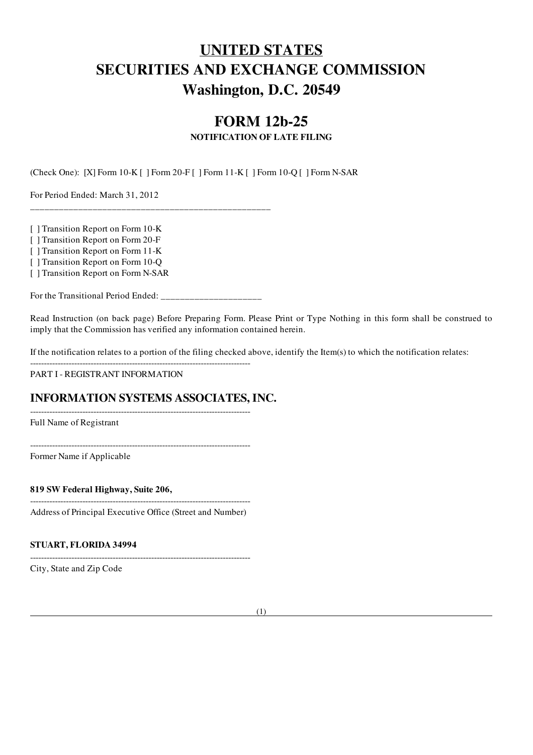# UNITED STATES SECURITIES AND EXCHANGE COMMISSION Washington, D.C. 20549

## FORM 12b-25

#### NOTIFICATION OF LATE FILING

(Check One): [X] Form 10-K [ ] Form 20-F [ ] Form 11-K [ ] Form 10-Q [ ] Form N-SAR

For Period Ended: March 31, 2012

[ ] Transition Report on Form 10-K

[ ] Transition Report on Form 20-F

[ ] Transition Report on Form 11-K

[ ] Transition Report on Form 10-Q

[ ] Transition Report on Form N-SAR

For the Transitional Period Ended: \_\_\_\_\_\_\_\_\_\_\_\_\_\_\_\_\_\_\_\_\_

 $-$ 

--------------------------------------------------------------------------------

\_\_\_\_\_\_\_\_\_\_\_\_\_\_\_\_\_\_\_\_\_\_\_\_\_\_\_\_\_\_\_\_\_\_\_\_\_\_\_\_\_\_\_\_\_\_\_\_\_\_

Read Instruction (on back page) Before Preparing Form. Please Print or Type Nothing in this form shall be construed to imply that the Commission has verified any information contained herein.

If the notification relates to a portion of the filing checked above, identify the Item(s) to which the notification relates:

PART I - REGISTRANT INFORMATION

### INFORMATION SYSTEMS ASSOCIATES, INC.

Full Name of Registrant

--------------------------------------------------------------------------------

Former Name if Applicable

819 SW Federal Highway, Suite 206,

-------------------------------------------------------------------------------- Address of Principal Executive Office (Street and Number)

--------------------------------------------------------------------------------

#### STUART, FLORIDA 34994

City, State and Zip Code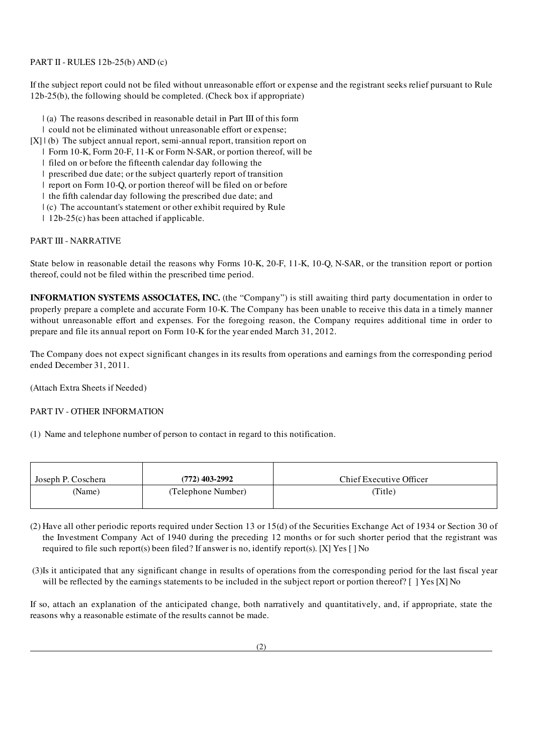#### PART II - RULES 12b-25(b) AND (c)

If the subject report could not be filed without unreasonable effort or expense and the registrant seeks relief pursuant to Rule 12b-25(b), the following should be completed. (Check box if appropriate)

- | (a) The reasons described in reasonable detail in Part III of this form
- | could not be eliminated without unreasonable effort or expense;
- [X] | (b) The subject annual report, semi-annual report, transition report on
	- | Form 10-K, Form 20-F, 11-K or Form N-SAR, or portion thereof, will be

| filed on or before the fifteenth calendar day following the

| prescribed due date; or the subject quarterly report of transition

| report on Form 10-Q, or portion thereof will be filed on or before

| the fifth calendar day following the prescribed due date; and

- | (c) The accountant's statement or other exhibit required by Rule
- | 12b-25(c) has been attached if applicable.

#### PART III - NARRATIVE

State below in reasonable detail the reasons why Forms 10-K, 20-F, 11-K, 10-Q, N-SAR, or the transition report or portion thereof, could not be filed within the prescribed time period.

INFORMATION SYSTEMS ASSOCIATES, INC. (the "Company") is still awaiting third party documentation in order to properly prepare a complete and accurate Form 10-K. The Company has been unable to receive this data in a timely manner without unreasonable effort and expenses. For the foregoing reason, the Company requires additional time in order to prepare and file its annual report on Form 10-K for the year ended March 31, 2012.

The Company does not expect significant changes in its results from operations and earnings from the corresponding period ended December 31, 2011.

(Attach Extra Sheets if Needed)

#### PART IV - OTHER INFORMATION

(1) Name and telephone number of person to contact in regard to this notification.

| Joseph P. Coschera | $(772)$ 403-2992   | Chief Executive Officer |
|--------------------|--------------------|-------------------------|
| (Name)             | (Telephone Number) | Title)                  |

- (2) Have all other periodic reports required under Section 13 or 15(d) of the Securities Exchange Act of 1934 or Section 30 of the Investment Company Act of 1940 during the preceding 12 months or for such shorter period that the registrant was required to file such report(s) been filed? If answer is no, identify report(s). [X] Yes [ ] No
- (3)Is it anticipated that any significant change in results of operations from the corresponding period for the last fiscal year will be reflected by the earnings statements to be included in the subject report or portion thereof? [ ] Yes [X] No

If so, attach an explanation of the anticipated change, both narratively and quantitatively, and, if appropriate, state the reasons why a reasonable estimate of the results cannot be made.